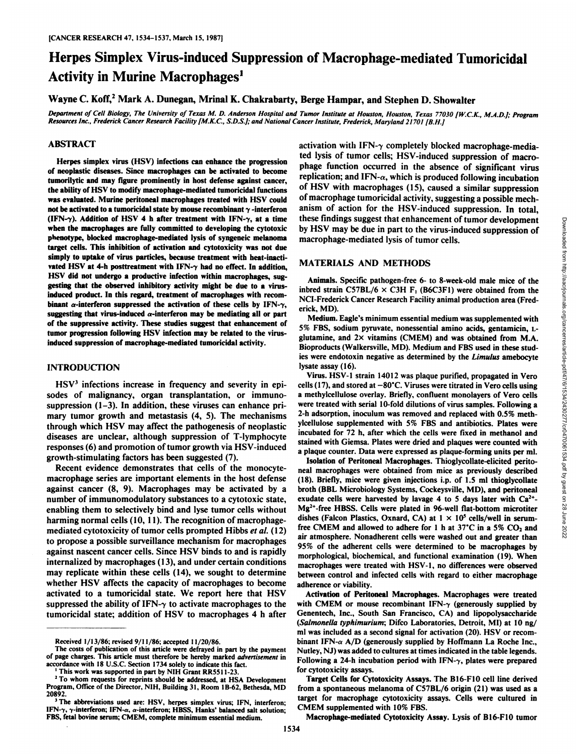# Herpes Simplex Virus-induced Suppression of Macrophage-mediated Tumoricidal Activity in Murine Macrophages<sup>1</sup>

Wayne C. Koff,<sup>2</sup> Mark A. Dunegan, Mrinal K. Chakrabarty, Berge Hampar, and Stephen D. Showalter

Department of Cell Biology, The University of Texas M. D. Anderson Hospital and Tumor Institute at Houston, Houston, Texas 77030 [W.C.K., M.A.D.]; Program Resources Inc., Frederick Cancer Research Facility [M.K.C., S.D.S.]; and National Cancer Institute, Frederick, Maryland 21701 [B.H.]

## ABSTRACT

Herpes simplex virus (HSV) infections can enhance the progression of neoplastic diseases. Since macrophages can be activated to become tumorilytic and may figure prominently in host defense against cancer, the ability of HSV to modify macrophage-mediated tumoricidal functions was evaluated. Murine peritoneal macrophages treated with HSV could not be activated to a tumoricidal state by mouse recombinant  $\gamma$  -interferon (IFN- $\gamma$ ). Addition of HSV 4 h after treatment with IFN- $\gamma$ , at a time when the macrophages are fully committed to developing the cytotoxic phenotype, blocked macrophage-mediated lysis of syngeneic melanoma target cells. This inhibition of activation and cytotoxicity was not due simply to uptake of virus particles, because treatment with heat-inacti vated HSV at 4-h posttreatment with IFN- $\gamma$  had no effect. In addition, HSV didnot undergo a productive infection within macrophages, sug gesting that the observed inhibitory activity might be due to a virusinduced product. In this regard, treatment of macrophages with recom binant  $\alpha$ -interferon suppressed the activation of these cells by IFN- $\gamma$ , erick, MD). suggesting that virus-induced  $\alpha$ -interferon may be mediating all or part of the suppressive activity. These studies suggest that enhancement of tumor progression following HSV infection may be related to the virusinduced suppression of macrophage-mediated tumoricidal activity.

### **INTRODUCTION**

HSV<sup>3</sup> infections increase in frequency and severity in episodes of malignancy, organ transplantation, or inmumo suppression (1-3). In addition, these viruses can enhance pri mary tumor growth and metastasis (4, 5). The mechanisms through which HSV may affect the pathogenesis of neoplastic diseases are unclear, although suppression of T-lymphocyte responses (6) and promotion of tumor growth via HSV-induced growth-stimulating factors has been suggested (7).

Recent evidence demonstrates that cells of the monocytemacrophage series are important elements in the host defense against cancer (8, 9). Macrophages may be activated by a number of immunomodulatory substances to a cytotoxic state, exudate cells were harvested by lavage 4 to 5 days later with  $Ca^{2+}$ enabling them to selectively bind and lyse tumor cells without harming normal cells (10, 11). The recognition of macrophagemediated cytotoxicity of tumor cells prompted Hibbs et al. (12) to propose a possible surveillance mechanism for macrophages against nascent cancer cells. Since HSV binds to and is rapidly internalized by macrophages (13), and under certain conditions may replicate within these cells (14), we sought to determine whether HSV affects the capacity of macrophages to become activated to a tumoricidal state. We report here that HSV suppressed the ability of IFN- $\gamma$  to activate macrophages to the tumoricidal state; addition of HSV to macrophages 4 h after

activation with IFN- $\gamma$  completely blocked macrophage-mediated lysis of tumor cells; HSV-induced suppression of macro phage function occurred in the absence of significant virus replication; and IFN- $\alpha$ , which is produced following incubation of HSV with macrophages (15), caused a similar suppression of macrophage tumoricidal activity, suggesting a possible mech anism of action for the HSV-induced suppression. In total, these findings suggest that enhancement of tumor development macrophage-mediated lysis of tumor cells.

## **MATERIALS AND METHODS**

Animals. Specific pathogen-free 6- to 8-week-old male mice of the inbred strain C57BL/6  $\times$  C3H F<sub>1</sub> (B6C3F1) were obtained from the NCI-Frederick Cancer Research Facility animal production area (Fred

Medium. Eagle's minimum essential medium was supplemented with 5% FBS, sodium pyruvate, nonessential amino acids, gentamicin, Lglutamine, and  $2 \times$  vitamins (CMEM) and was obtained from M.A. Bioproducts (Walkersville, MD). Medium and FBS used in these stud ies were endotoxin negative as determined by the Limulus amebocyte lysate assay (16).

these Inntings suggest that channerement of turnor development<br>
they HSV may be due in part to the virus-induced suppression of<br>
macrophage-mediated lysis of turnor cells.<br>
MATERIALS AND METHODS<br>
Arianals. Specific pathoge Virus. HSV-1 strain 14012 was plaque purified, propagated in Vero cells (17), and stored at  $-80^{\circ}$ C. Viruses were titrated in Vero cells using a methylcellulose overlay. Briefly, confluent monolayers of Vero cells were treated with serial 10-fold dilutions of virus samples. Following a 2-h adsorption, inoculum was removed and replaced with 0.5% meth ylcellulose supplemented with 5% FBS and antibiotics. Plates were incubated for 72 h, after which the cells were fixed in methanol and stained with Giemsa. Plates were dried and plaques were counted with a plaque counter. Data were expressed as plaque-forming units per ml.

Isolation of Peritoneal Macrophages. Thioglycollate-elicited perito neal macrophages were obtained from mice as previously described (18). Briefly, mice were given injections i.p. of 1.5 ml thioglycollate broth (BBL Microbiology Systems, Cockeysville, MD), and peritoneal Mg2+-free HBSS. Cells were plated in 96-well flat-bottom microtiter dishes (Falcon Plastics, Oxnard, CA) at  $1 \times 10^5$  cells/well in serumfree CMEM and allowed to adhere for 1 h at  $37^{\circ}$ C in a 5% CO<sub>2</sub> and air atmosphere. Nonadherent cells were washed out and greater than 95% of the adherent cells were determined to be macrophages by morphological, biochemical, and functional examination (19). When macrophages were treated with HSV-1, no differences were observed between control and infected cells with regard to either macrophage adherence or viability.

Activation of Peritoneal Macrophages. Macrophages were treated with CMEM or mouse recombinant IFN- $\gamma$  (generously supplied by Genentech, Inc., South San Francisco, CA) and lipopolysaccharide *(Salmonella typhimurium; Difco Laboratories, Detroit, MI) at 10 ng/* ml was included as a second signal for activation (20). HSV or recom binant IFN- $\alpha$  A/D (generously supplied by Hoffmann La Roche Inc., Nutley, NJ) was added to cultures at times indicated in the table legends. Following a 24-h incubation period with IFN- $\gamma$ , plates were prepared for cytotoxicity assays.

Target Cells for Cytotoxicity Assays. The B16-F10 cell line derived from a spontaneous melanoma of C57BL/6 origin (21) was used as a target for macrophage cytotoxicity assays. Cells were cultured in CMEM supplemented with 10% FBS.

Macrophage-mediated Cytotoxicity Assay. Lysis of B16-F10 tumor

Received 1/13/86; revised 9/11/86; accepted 11/20/86.

The costs of publication of this article were defrayed in part by the payment of page charges. This article must therefore be hereby marked advertisement in accordance with 18 U.S.C. Section 1734 solely to indicate this fact. '

This work was supported in part by N1H Grant RR5511-23.

<sup>&</sup>lt;sup>2</sup> To whom requests for reprints should be addressed, at HSA Development Program, Office of the Director, NIH, Building 31, Room IB-62, Bethesda, MD 20892.

<sup>&</sup>lt;sup>3</sup> The abbreviations used are: HSV, herpes simplex virus; IFN, interferon; IFN- $\gamma$ ,  $\gamma$ -interferon; IFN- $\alpha$ ,  $\alpha$ -interferon; HBSS, Hanks' balanced salt solution; FBS, fetal bovine serum; CMEM, complete minimum essential medium.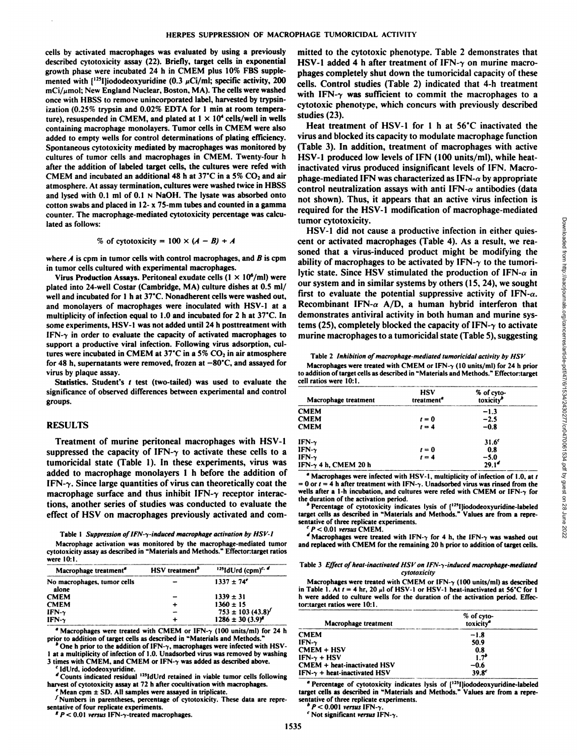cells by activated macrophages was evaluated by using a previously described cytotoxicity assay (22). Briefly, target cells in exponential growth phase were incubated 24 h in CMEM plus 10% FBS supple mented with  $[125]$ ]iododeoxyuridine (0.3  $\mu$ Ci/ml; specific activity, 200  $mci/\mu$ mol; New England Nuclear, Boston, MA). The cells were washed once with HBSS to remove unincorporated label, harvested by trypsinization (0.25% trypsin and 0.02% EDTA for 1 min at room tempera-cytotoxic ph<br>ture) recurrented in CMEM and plated at  $1 \times 10^4$  cells (well in wells<br>studies (23). ture), resuspended in CMEM, and plated at  $1 \times 10^4$  cells/well in wells containing macrophage monolayers. Tumor cells in CMEM were also added to empty wells for control determinations of plating efficiency. Spontaneous cytotoxicity mediated by macrophages was monitored by cultures of tumor cells and macrophages in CMEM. Twenty-four h after the addition of labeled target cells, the cultures were refed with CMEM and incubated an additional 48 h at  $37^{\circ}$ C in a 5% CO<sub>2</sub> and air atmosphere. At assay termination, cultures were washed twice in HBSS and lysed with  $0.1$  ml of  $0.1$  N NaOH. The lysate was absorbed onto cotton swabs and placed in 12- x 75-mm tubes and counted in a gamma counter. The macrophage-mediated cytotoxicity percentage was calcu lated as follows:

% of cytotoxicity = 
$$
100 \times (A - B) + A
$$

where  $A$  is cpm in tumor cells with control macrophages, and  $B$  is cpm in tumor cells cultured with experimental macrophages.

Virus Production Assays. Peritoneal exudate cells (1  $\times$  10<sup>6</sup>/ml) were plated into 24-well Costar (Cambridge, MA) culture dishes at 0.5 ml/ well and incubated for 1 h at 37°C. Nonadherent cells were washed out, and monolayers of macrophages were inoculated with HSV-1 at a multiplicity of infection equal to 1.0 and incubated for 2 h at 37°C. In some experiments, HSV-1 was not added until 24 h posttreatment with IFN- $\gamma$  in order to evaluate the capacity of activated macrophages to support a productive viral infection. Following virus adsorption, cul tures were incubated in CMEM at 37°C in a 5%  $CO<sub>2</sub>$  in air atmosphere for 48 h, supernatants were removed, frozen at  $-80^{\circ}$ C, and assayed for virus by plaque assay.<br>Statistics. Student's t test (two-tailed) was used to evaluate the

significance of observed differences between experimental and control groups.

#### RESULTS

Treatment of murine peritoneal macrophages with HSV-1 suppressed the capacity of IFN- $\gamma$  to activate these cells to a tumoricidal state (Table 1). In these experiments, virus was added to macrophage monolayers l h before the addition of IFN- $\gamma$ . Since large quantities of virus can theoretically coat the macrophage surface and thus inhibit  $IFN-\gamma$  receptor interac-<br>the duration of the activation period. tions, another series of studies was conducted to evaluate the effect of HSV on macrophages previously activated and com-

#### Table 1 Suppression of IFN- $\gamma$ -induced macrophage activation by HSV-1

Macrophage activation was monitored by the macrophage-mediated tumor cytotoxicity assay as described in "Materials and Methods." Effectontarget ratios were 10:1.

| Macrophage treatment"                | HSV treatment <sup>P</sup> | $^{125}$ IdUrd (cpm) <sup>c, d</sup> |
|--------------------------------------|----------------------------|--------------------------------------|
| No macrophages, tumor cells<br>alone |                            | $1337 \pm 74^{\circ}$                |
| <b>CMEM</b>                          |                            | $1339 \pm 31$                        |
| <b>CMEM</b>                          |                            | $1360 \pm 15$                        |
| IFN- $\gamma$                        |                            | $753 \pm 103 (43.8)^{\circ}$         |
| IFN- $\gamma$                        |                            | $1286 \pm 30 (3.9)^2$                |

<sup>a</sup> Macrophages were treated with CMEM or IFN- $\gamma$  (100 units/ml) for 24 h prior to addition of target cells as described in "Materials and Methods.

One h prior to the addition of IFN- $\gamma$ , macrophages were infected with HSV-1 at a multiplicity of infection of 1.0. Unadsorbed virus was removed by washing

3 times with CMEM. and CMEM or IFN-7 was added as described above. *'IdUrd, iododeoxyuridine.*

''Counts indicated residual '"Mini retained in viable tumor cells following harvest of cytotoxicity assay at 72 h after cocultivation with macrophages.<br> $\int$  Mean cpm  $\pm$  SD. All samples were assayed in triplicate.

 $\sqrt{\frac{1}{1}}$  Numbers in parentheses, percentage of cytotoxicity. These data are repre-

sentative of four replicate experiments.<br> *f*  $P < 0.01$  versus IFN- $\gamma$ -treated macrophages.

mitted to the cytotoxic phenotype. Table 2 demonstrates that HSV-1 added 4 h after treatment of IFN- $\gamma$  on murine macrophages completely shut down the tumoricidal capacity of these cells. Control studies (Table 2) indicated that 4-h treatment with IFN- $\gamma$  was sufficient to commit the macrophages to a cytotoxic phenotype, which concurs with previously described

Heat treatment of HSV-1 for 1 h at 56°C inactivated the virus and blocked its capacity to modulate macrophage function (Table 3). In addition, treatment of macrophages with active HSV-1 produced low levels of IFN (100 units/ml), while heatinactivated virus produced insignificant levels of IFN. Macro phage-mediated IFN was characterized as IFN- $\alpha$  by appropriate control neutralization assays with anti IFN- $\alpha$  antibodies (data not shown). Thus, it appears that an active virus infection is required for the HSV-1 modification of macrophage-mediated tumor cytotoxicity.

HSV-1 did not cause a productive infection in either quies tumor cytotoxicity.<br>
HSV-1 did not cause a productive infection in either quies-<br>
exert or activated macrophages (Table 4). As a result, we rea-<br>
soluted that a virus-induced product might be modifying the<br>
ability of mac soned that a virus-induced product might be modifying the ability of macrophages to be activated by IFN- $\gamma$  to the tumorilytic state. Since HSV stimulated the production of IFN- $\alpha$  in our system and in similar systems by others (15, 24), we sought first to evaluate the potential suppressive activity of IFN- $\alpha$ . Recombinant IFN- $\alpha$  A/D, a human hybrid interferon that demonstrates antiviral activity in both human and murine sys tems (25), completely blocked the capacity of IFN- $\gamma$  to activate murine macrophages to a tumoricidal state (Table 5), suggesting

Table 2 Inhibition of macrophage-mediated tumoricidal activity by HSV Macrophages were treated with CMEM or IFN- $\gamma$  (10 units/ml) for 24 h prior to addition of target cells as described in "Materials and Methods." Effector: target cell ratios were 10:1.

| Macrophage treatment         | <b>HSV</b><br>treatment <sup>a</sup> | % of cyto-<br>toxicity <sup>b</sup> |
|------------------------------|--------------------------------------|-------------------------------------|
| <b>CMEM</b>                  |                                      | $-1.3$                              |
| <b>CMEM</b>                  | $t=0$                                | $-2.5$                              |
| <b>CMEM</b>                  | $t = 4$                              | $-0.8$                              |
| IFN $\gamma$                 |                                      | $31.6^c$                            |
| IFN- $\gamma$                | $t = 0$                              | 0.8                                 |
| IFN- $\gamma$                | $t = 4$                              | $-5.0$                              |
| IFN- $\gamma$ 4 h, CMEM 20 h |                                      | 29.1 <sup>d</sup>                   |

 $\degree$  Macrophages were infected with HSV-1, multiplicity of infection of 1.0, at t *= 0 or I = 4 h after treatment with IFN-7. Unadsorbed virus was rinsed from the* wells after a 1-h incubation, and cultures were refed with CMEM or IFN- $\gamma$  for

<sup>b</sup> Percentage of cytotoxicity indicates lysis of (<sup>125</sup>Iliododeoxyuridine-labeled target cells as described in "Materials and Methods." Values are from a repre sentative of three replicate experiments.<br> $\degree P < 0.01$  versus CMEM.

*\* Macrophages were treated with IFN-7 for 4 h, the IFN-7 was washed out* and replaced with CMEM for the remaining 20 h prior to addition of target cells.

#### Table 3 Effect of heat-inactivated HSV on IFN- $\gamma$ -induced macrophage-mediated *cytotoxicity*

Macrophages were treated with CMEM or IFN- $\gamma$  (100 units/ml) as described in Table 1. At  $t = 4$  hr, 20  $\mu$ l of HSV-1 or HSV-1 heat-inactivated at 56°C for 1 h were added to culture wells for the duration of the activation period. Effec tor: target ratios were 10:1.

| Macrophage treatment                 | % of cyto-<br>toxicity <sup>®</sup> |  |
|--------------------------------------|-------------------------------------|--|
| CMEM                                 | $-1.8$                              |  |
| IFN- $\gamma$                        | 50.9                                |  |
| CMEM + HSV                           | 0.8                                 |  |
| IFN-γ + HSV                          | 1.7 <sup>b</sup>                    |  |
| CMEM + heat-inactivated HSV          | -0.6                                |  |
| IFN- $\gamma$ + heat-inactivated HSV | $39.8^c$                            |  |

<sup>2</sup> Percentage of cytotoxicity indicates lysis of [<sup>125</sup>I]iododeoxyuridine-labeled target cells as described in "Materials and Methods." Values are from a repre sentative of three replicate experiments.<br>*P <* 0.001 *versus* IFN- $\gamma$ .

*' Not significant versus IFN-7.*

Downloaded from http://aacrjournals.org/cancerres/article-pdf/47/6/1534/2430277/cr0470061534.pdf by guest on 28 June 2022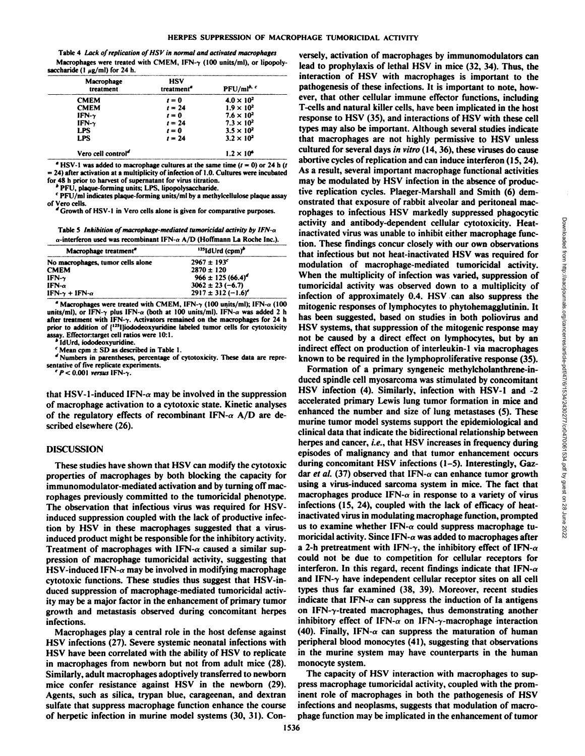Table 4 Lack of replication of HSV in normal and activated macrophages Macrophages were treated with CMEM, IFN- $\gamma$  (100 units/ml), or lipopolysaccharide  $(1 \mu g/ml)$  for 24 h.

| Macrophage<br>treatment        | <b>HSV</b><br>treatment <sup>a</sup> | $PFU/ml^{b, c}$     |
|--------------------------------|--------------------------------------|---------------------|
| <b>CMEM</b>                    | $t=0$                                | $4.0 \times 10^{2}$ |
| <b>CMEM</b>                    | $t = 24$                             | $1.9 \times 10^2$   |
| $IFN-\gamma$                   | $t = 0$                              | $7.6 \times 10^{2}$ |
| IFN- $\gamma$                  | $t = 24$                             | $7.3 \times 10^{2}$ |
| <b>LPS</b>                     | $t = 0$                              | $3.5 \times 10^2$   |
| <b>LPS</b>                     | $t = 24$                             | $3.2 \times 10^{2}$ |
| Vero cell control <sup>d</sup> |                                      | $1.2 \times 10^6$   |

<sup>a</sup> HSV-1 was added to macrophage cultures at the same time  $(t = 0)$  or 24 h (t

 $=$  24) after activation at a multiplicity of infection of 1.0. Cultures were incubated for 48 h prior to harvest of supernatant for virus titration.

PFU, plaque-forming units; LPS, lipopolysaccharide.

PFU/ml indicates plaque-forming units/ml by a methylcellulose plaque assay of Vero cells.<br>
"Growth of HSV-1 in Vero cells alone is given for comparative purposes.

Table 5 Inhibition of macrophage-mediated tumoricidal activity by IFN- $\alpha$  $\alpha$ -interferon used was recombinant IFN- $\alpha$  A/D (Hoffmann La Roche Inc.).

| $125$ IdUrd (cpm) <sup>b</sup> |  |
|--------------------------------|--|
| $2967 \pm 193^c$               |  |
| $2870 \pm 120$                 |  |
| $966 \pm 125 (66.4)^d$         |  |
| $3062 \pm 23 (-6.7)$           |  |
| $2917 \pm 312 (-1.6)^c$        |  |
|                                |  |

 $\degree$  Macrophages were treated with CMEM, IFN- $\gamma$  (100 units/ml); IFN- $\alpha$  (100 units/ml), or IFN- $\gamma$  plus IFN- $\alpha$  (both at 100 units/ml). IFN- $\alpha$  was added 2 h after treatment with IFN- $\gamma$ . Activators remained on the macrophages for 24 h prior to addition of [125]]iododeoxyuridine labeled tumor cells for cytotoxicity assay. Effector:target cell ratios were 10:1.

IdUrd, iododeoxyuridine

Mean cpm  $\pm$  SD as described in Table 1.

Numbers in parentheses, percentage of cytotoxicity. These data are representative of five replicate experiments.

 $P < 0.001$  versus IFN- $\gamma$ .

that HSV-1-induced IFN- $\alpha$  may be involved in the suppression of macrophage activation to a cytotoxic state. Kinetic analyses of the regulatory effects of recombinant IFN- $\alpha$  A/D are described elsewhere (26).

#### **DISCUSSION**

These studies have shown that HSV can modify the cytotoxic properties of macrophages by both blocking the capacity for immunomodulator-mediated activation and by turning off macrophages previously committed to the tumoricidal phenotype. The observation that infectious virus was required for HSVinduced suppression coupled with the lack of productive infection by HSV in these macrophages suggested that a virusinduced product might be responsible for the inhibitory activity. Treatment of macrophages with IFN- $\alpha$  caused a similar suppression of macrophage tumoricidal activity, suggesting that  $\text{HSV-induced IFN-}\alpha$  may be involved in modifying macrophage cytotoxic functions. These studies thus suggest that HSV-induced suppression of macrophage-mediated tumoricidal activity may be a major factor in the enhancement of primary tumor growth and metastasis observed during concomitant herpes infections.

Macrophages play a central role in the host defense against HSV infections (27). Severe systemic neonatal infections with HSV have been correlated with the ability of HSV to replicate in macrophages from newborn but not from adult mice (28). Similarly, adult macrophages adoptively transferred to newborn mice confer resistance against HSV in the newborn (29). Agents, such as silica, trypan blue, carageenan, and dextran sulfate that suppress macrophage function enhance the course of herpetic infection in murine model systems (30, 31). Conversely, activation of macrophages by immunomodulators can lead to prophylaxis of lethal HSV in mice (32, 34). Thus, the interaction of HSV with macrophages is important to the pathogenesis of these infections. It is important to note, however, that other cellular immune effector functions, including T-cells and natural killer cells, have been implicated in the host response to HSV (35), and interactions of HSV with these cell types may also be important. Although several studies indicate that macrophages are not highly permissive to HSV unless cultured for several days in vitro (14, 36), these viruses do cause abortive cycles of replication and can induce interferon (15, 24). As a result, several important macrophage functional activities may be modulated by HSV infection in the absence of productive replication cycles. Plaeger-Marshall and Smith (6) demonstrated that exposure of rabbit alveolar and peritoneal macrophages to infectious HSV markedly suppressed phagocytic activity and antibody-dependent cellular cytotoxicity. Heatinactivated virus was unable to inhibit either macrophage function. These findings concur closely with our own observations that infectious but not heat-inactivated HSV was required for modulation of macrophage-mediated tumoricidal activity. When the multiplicity of infection was varied, suppression of tumoricidal activity was observed down to a multiplicity of infection of approximately 0.4. HSV can also suppress the mitogenic responses of lymphocytes to phytohemagglutinin. It has been suggested, based on studies in both poliovirus and HSV systems, that suppression of the mitogenic response may not be caused by a direct effect on lymphocytes, but by an indirect effect on production of interleukin-1 via macrophages known to be required in the lymphoproliferative response (35).

Formation of a primary syngeneic methylcholanthrene-induced spindle cell myosarcoma was stimulated by concomitant HSV infection (4). Similarly, infection with HSV-1 and -2 accelerated primary Lewis lung tumor formation in mice and enhanced the number and size of lung metastases (5). These murine tumor model systems support the epidemiological and clinical data that indicate the bidirectional relationship between herpes and cancer, *i.e.*, that HSV increases in frequency during episodes of malignancy and that tumor enhancement occurs during concomitant HSV infections (1-5). Interestingly, Gazdar et al. (37) observed that IFN- $\alpha$  can enhance tumor growth using a virus-induced sarcoma system in mice. The fact that macrophages produce IFN- $\alpha$  in response to a variety of virus infections (15, 24), coupled with the lack of efficacy of heatinactivated virus in modulating macrophage function, prompted us to examine whether IFN- $\alpha$  could suppress macrophage tumoricidal activity. Since IFN- $\alpha$  was added to macrophages after a 2-h pretreatment with IFN- $\gamma$ , the inhibitory effect of IFN- $\alpha$ could not be due to competition for cellular receptors for interferon. In this regard, recent findings indicate that IFN- $\alpha$ and IFN- $\gamma$  have independent cellular receptor sites on all cell types thus far examined (38, 39). Moreover, recent studies indicate that IFN- $\alpha$  can suppress the induction of Ia antigens on IFN- $\gamma$ -treated macrophages, thus demonstrating another inhibitory effect of IFN- $\alpha$  on IFN- $\gamma$ -macrophage interaction (40). Finally, IFN- $\alpha$  can suppress the maturation of human peripheral blood monocytes (41), suggesting that observations in the murine system may have counterparts in the human monocyte system.

The capacity of HSV interaction with macrophages to suppress macrophage tumoricidal activity, coupled with the prominent role of macrophages in both the pathogenesis of HSV infections and neoplasms, suggests that modulation of macrophage function may be implicated in the enhancement of tumor